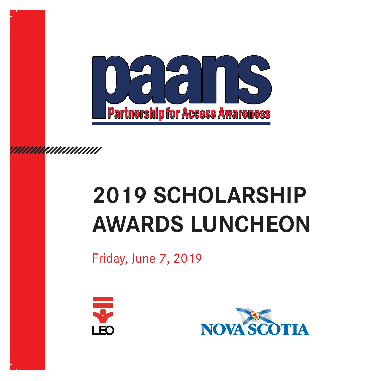

## **2019 SCHOLARSHIP AWARDS LUNCHEON**

Friday, June 7, 2019



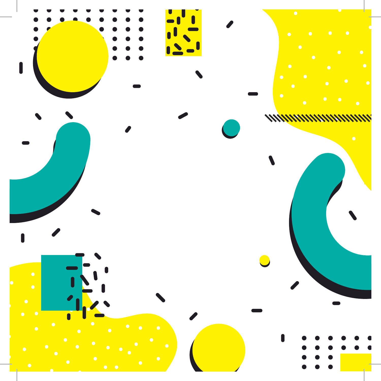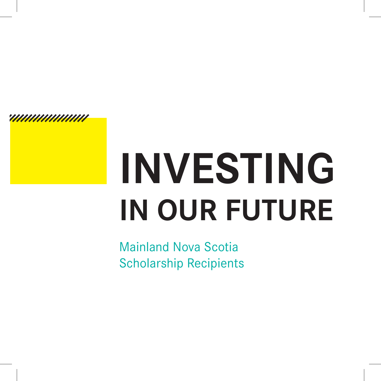

# **INVESTING IN OUR FUTURE**

Mainland Nova Scotia Scholarship Recipients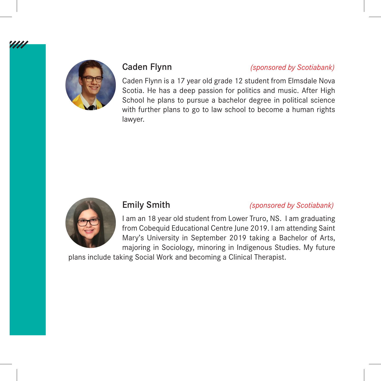

## Caden Flynn *(sponsored by Scotiabank)*

Caden Flynn is a 17 year old grade 12 student from Elmsdale Nova Scotia. He has a deep passion for politics and music. After High School he plans to pursue a bachelor degree in political science with further plans to go to law school to become a human rights lawyer.



## Emily Smith *(sponsored by Scotiabank)*

I am an 18 year old student from Lower Truro, NS. I am graduating from Cobequid Educational Centre June 2019. I am attending Saint Mary's University in September 2019 taking a Bachelor of Arts, majoring in Sociology, minoring in Indigenous Studies. My future

plans include taking Social Work and becoming a Clinical Therapist.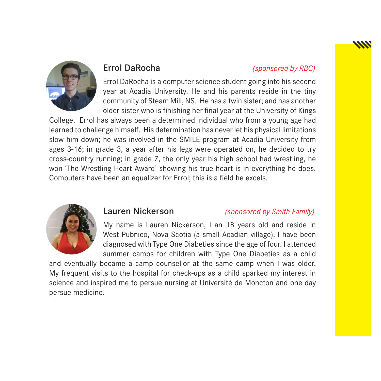## Errol DaRocha *(sponsored by RBC)*



Errol DaRocha is a computer science student going into his second year at Acadia University. He and his parents reside in the tiny community of Steam Mill, NS. He has a twin sister; and has another older sister who is finishing her final year at the University of Kings

College. Errol has always been a determined individual who from a young age had learned to challenge himself. His determination has never let his physical limitations slow him down; he was involved in the SMILE program at Acadia University from ages 3-16; in grade 3, a year after his legs were operated on, he decided to try cross-country running; in grade 7, the only year his high school had wrestling, he won 'The Wrestling Heart Award' showing his true heart is in everything he does. Computers have been an equalizer for Errol; this is a field he excels.



## Lauren Nickerson *(sponsored by Smith Family)*

My name is Lauren Nickerson, I an 18 years old and reside in West Pubnico, Nova Scotia (a small Acadian village). I have been diagnosed with Type One Diabeties since the age of four. I attended summer camps for children with Type One Diabeties as a child

and eventually became a camp counsellor at the same camp when I was older. My frequent visits to the hospital for check-ups as a child sparked my interest in science and inspired me to persue nursing at Universitè de Moncton and one day persue medicine.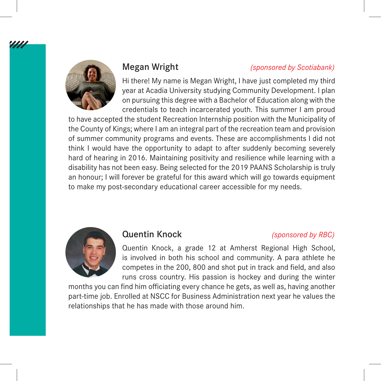

## Megan Wright *(sponsored by Scotiabank)*

Hi there! My name is Megan Wright, I have just completed my third year at Acadia University studying Community Development. I plan on pursuing this degree with a Bachelor of Education along with the credentials to teach incarcerated youth. This summer I am proud

to have accepted the student Recreation Internship position with the Municipality of the County of Kings; where I am an integral part of the recreation team and provision of summer community programs and events. These are accomplishments I did not think I would have the opportunity to adapt to after suddenly becoming severely hard of hearing in 2016. Maintaining positivity and resilience while learning with a disability has not been easy. Being selected for the 2019 PAANS Scholarship is truly an honour; I will forever be grateful for this award which will go towards equipment to make my post-secondary educational career accessible for my needs.



### Quentin Knock *(sponsored by RBC)*

Quentin Knock, a grade 12 at Amherst Regional High School, is involved in both his school and community. A para athlete he competes in the 200, 800 and shot put in track and field, and also runs cross country. His passion is hockey and during the winter

months you can find him officiating every chance he gets, as well as, having another part-time job. Enrolled at NSCC for Business Administration next year he values the relationships that he has made with those around him.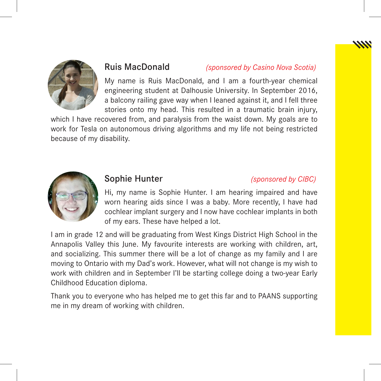Ruis MacDonald *(sponsored by Casino Nova Scotia)*

My name is Ruis MacDonald, and I am a fourth-year chemical engineering student at Dalhousie University. In September 2016, a balcony railing gave way when I leaned against it, and I fell three stories onto my head. This resulted in a traumatic brain injury,

which I have recovered from, and paralysis from the waist down. My goals are to work for Tesla on autonomous driving algorithms and my life not being restricted because of my disability.



### Sophie Hunter *(sponsored by CIBC)*

 $\boldsymbol{\mu}$ 

Hi, my name is Sophie Hunter. I am hearing impaired and have worn hearing aids since I was a baby. More recently, I have had cochlear implant surgery and I now have cochlear implants in both of my ears. These have helped a lot.

I am in grade 12 and will be graduating from West Kings District High School in the Annapolis Valley this June. My favourite interests are working with children, art, and socializing. This summer there will be a lot of change as my family and I are moving to Ontario with my Dad's work. However, what will not change is my wish to work with children and in September I'll be starting college doing a two-year Early Childhood Education diploma.

Thank you to everyone who has helped me to get this far and to PAANS supporting me in my dream of working with children.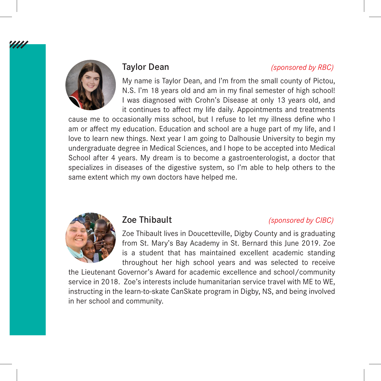

## Taylor Dean *(sponsored by RBC)*

My name is Taylor Dean, and I'm from the small county of Pictou, N.S. I'm 18 years old and am in my final semester of high school! I was diagnosed with Crohn's Disease at only 13 years old, and it continues to affect my life daily. Appointments and treatments

cause me to occasionally miss school, but I refuse to let my illness define who I am or affect my education. Education and school are a huge part of my life, and I love to learn new things. Next year I am going to Dalhousie University to begin my undergraduate degree in Medical Sciences, and I hope to be accepted into Medical School after 4 years. My dream is to become a gastroenterologist, a doctor that specializes in diseases of the digestive system, so I'm able to help others to the same extent which my own doctors have helped me.



### Zoe Thibault *(sponsored by CIBC)*

## Zoe Thibault lives in Doucetteville, Digby County and is graduating from St. Mary's Bay Academy in St. Bernard this June 2019. Zoe is a student that has maintained excellent academic standing throughout her high school years and was selected to receive

the Lieutenant Governor's Award for academic excellence and school/community service in 2018. Zoe's interests include humanitarian service travel with ME to WE, instructing in the learn-to-skate CanSkate program in Digby, NS, and being involved in her school and community.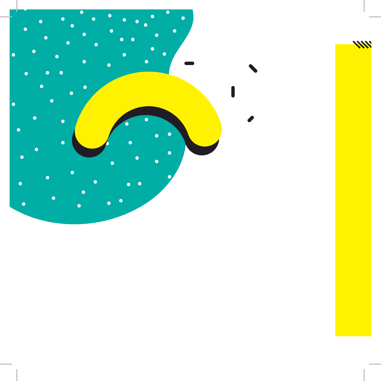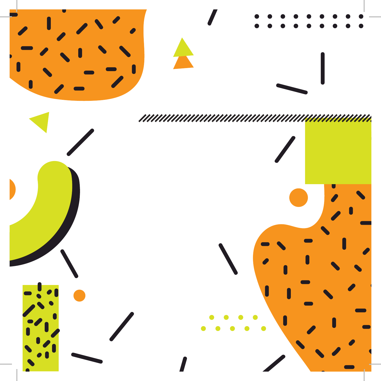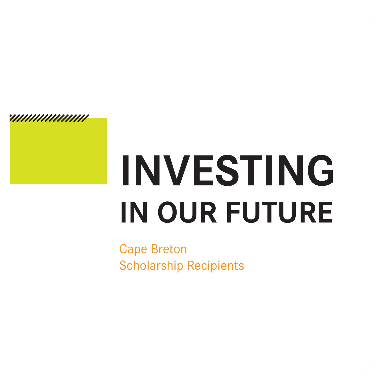

# **INVESTING IN OUR FUTURE**

Cape Breton Scholarship Recipients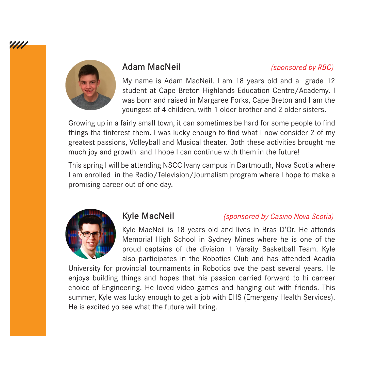

'*''*''

## Adam MacNeil *(sponsored by RBC)*

My name is Adam MacNeil. I am 18 years old and a grade 12 student at Cape Breton Highlands Education Centre/Academy. I was born and raised in Margaree Forks, Cape Breton and I am the youngest of 4 children, with 1 older brother and 2 older sisters.

Growing up in a fairly small town, it can sometimes be hard for some people to find things tha tinterest them. I was lucky enough to find what I now consider 2 of my greatest passions, Volleyball and Musical theater. Both these activities brought me much joy and growth and I hope I can continue with them in the future!

This spring I will be attending NSCC Ivany campus in Dartmouth, Nova Scotia where I am enrolled in the Radio/Television/Journalism program where I hope to make a promising career out of one day.



## Kyle MacNeil *(sponsored by Casino Nova Scotia)*

Kyle MacNeil is 18 years old and lives in Bras D'Or. He attends Memorial High School in Sydney Mines where he is one of the proud captains of the division 1 Varsity Basketball Team. Kyle also participates in the Robotics Club and has attended Acadia

University for provincial tournaments in Robotics ove the past several years. He enjoys building things and hopes that his passion carried forward to hi carreer choice of Engineering. He loved video games and hanging out with friends. This summer, Kyle was lucky enough to get a job with EHS (Emergeny Health Services). He is excited yo see what the future will bring.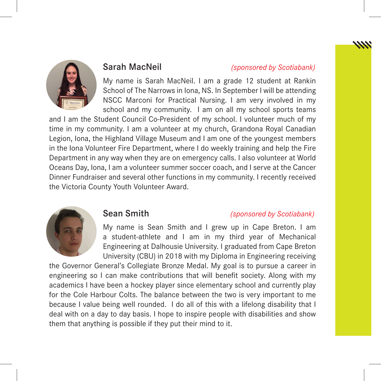Sarah MacNeil *(sponsored by Scotiabank)* 

 $\boldsymbol{\mathcal{N}}$ 



My name is Sarah MacNeil. I am a grade 12 student at Rankin School of The Narrows in Iona, NS. In September I will be attending NSCC Marconi for Practical Nursing. I am very involved in my school and my community. I am on all my school sports teams

and I am the Student Council Co-President of my school. I volunteer much of my time in my community. I am a volunteer at my church, Grandona Royal Canadian Legion, Iona, the Highland Village Museum and I am one of the youngest members in the Iona Volunteer Fire Department, where I do weekly training and help the Fire Department in any way when they are on emergency calls. I also volunteer at World Oceans Day, Iona, I am a volunteer summer soccer coach, and I serve at the Cancer Dinner Fundraiser and several other functions in my community. I recently received the Victoria County Youth Volunteer Award.



## Sean Smith *(sponsored by Scotiabank)*

My name is Sean Smith and I grew up in Cape Breton. I am a student-athlete and I am in my third year of Mechanical Engineering at Dalhousie University. I graduated from Cape Breton University (CBU) in 2018 with my Diploma in Engineering receiving

the Governor General's Collegiate Bronze Medal. My goal is to pursue a career in engineering so I can make contributions that will benefit society. Along with my academics I have been a hockey player since elementary school and currently play for the Cole Harbour Colts. The balance between the two is very important to me because I value being well rounded. I do all of this with a lifelong disability that I deal with on a day to day basis. I hope to inspire people with disabilities and show them that anything is possible if they put their mind to it.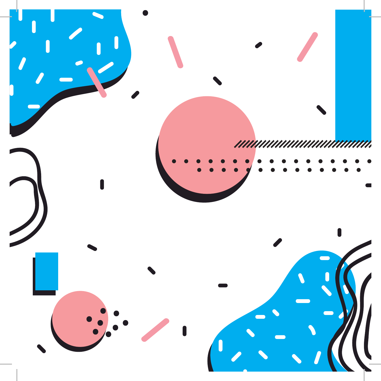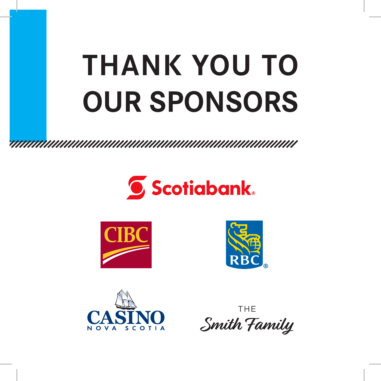## **THANK YOU TO OUR SPONSORS**









THE **Smith Family**